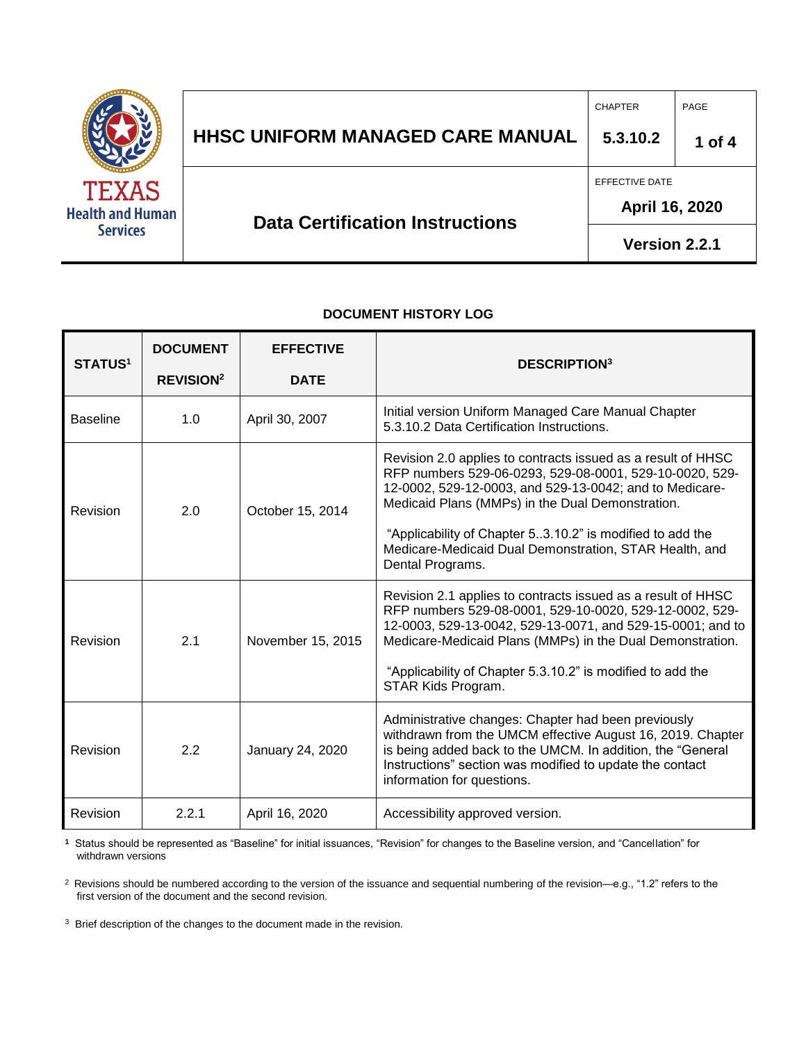

## **HHSC Uniform Managed Care MANUAL HHSC UNIFORM MANAGED CARE MANUAL 5.3.10.2 1 of 4** CHAPTER PAGE **Data Certification Instructions** EFFECTIVE DATE **April 16, 2020**

# **Version 2.2.1**

#### **DOCUMENT HISTORY LOG**

| <b>STATUS1</b>  | <b>DOCUMENT</b>             | <b>EFFECTIVE</b>  | <b>DESCRIPTION3</b>                                                                                                                                                                                                                                                                                                                                                               |
|-----------------|-----------------------------|-------------------|-----------------------------------------------------------------------------------------------------------------------------------------------------------------------------------------------------------------------------------------------------------------------------------------------------------------------------------------------------------------------------------|
|                 | <b>REVISION<sup>2</sup></b> | <b>DATE</b>       |                                                                                                                                                                                                                                                                                                                                                                                   |
| <b>Baseline</b> | 1.0                         | April 30, 2007    | Initial version Uniform Managed Care Manual Chapter<br>5.3.10.2 Data Certification Instructions.                                                                                                                                                                                                                                                                                  |
| Revision        | 2.0                         | October 15, 2014  | Revision 2.0 applies to contracts issued as a result of HHSC<br>RFP numbers 529-06-0293, 529-08-0001, 529-10-0020, 529-<br>12-0002, 529-12-0003, and 529-13-0042; and to Medicare-<br>Medicaid Plans (MMPs) in the Dual Demonstration.<br>"Applicability of Chapter 53.10.2" is modified to add the<br>Medicare-Medicaid Dual Demonstration, STAR Health, and<br>Dental Programs. |
| Revision        | 2.1                         | November 15, 2015 | Revision 2.1 applies to contracts issued as a result of HHSC<br>RFP numbers 529-08-0001, 529-10-0020, 529-12-0002, 529-<br>12-0003, 529-13-0042, 529-13-0071, and 529-15-0001; and to<br>Medicare-Medicaid Plans (MMPs) in the Dual Demonstration.<br>"Applicability of Chapter 5.3.10.2" is modified to add the<br>STAR Kids Program.                                            |
| Revision        | 2.2                         | January 24, 2020  | Administrative changes: Chapter had been previously<br>withdrawn from the UMCM effective August 16, 2019. Chapter<br>is being added back to the UMCM. In addition, the "General<br>Instructions" section was modified to update the contact<br>information for questions.                                                                                                         |
| Revision        | 2.2.1                       | April 16, 2020    | Accessibility approved version.                                                                                                                                                                                                                                                                                                                                                   |

**1** Status should be represented as "Baseline" for initial issuances, "Revision" for changes to the Baseline version, and "Cancellation" for withdrawn versions

<sup>2</sup> Revisions should be numbered according to the version of the issuance and sequential numbering of the revision—e.g., "1.2" refers to the first version of the document and the second revision.

<sup>3</sup> Brief description of the changes to the document made in the revision.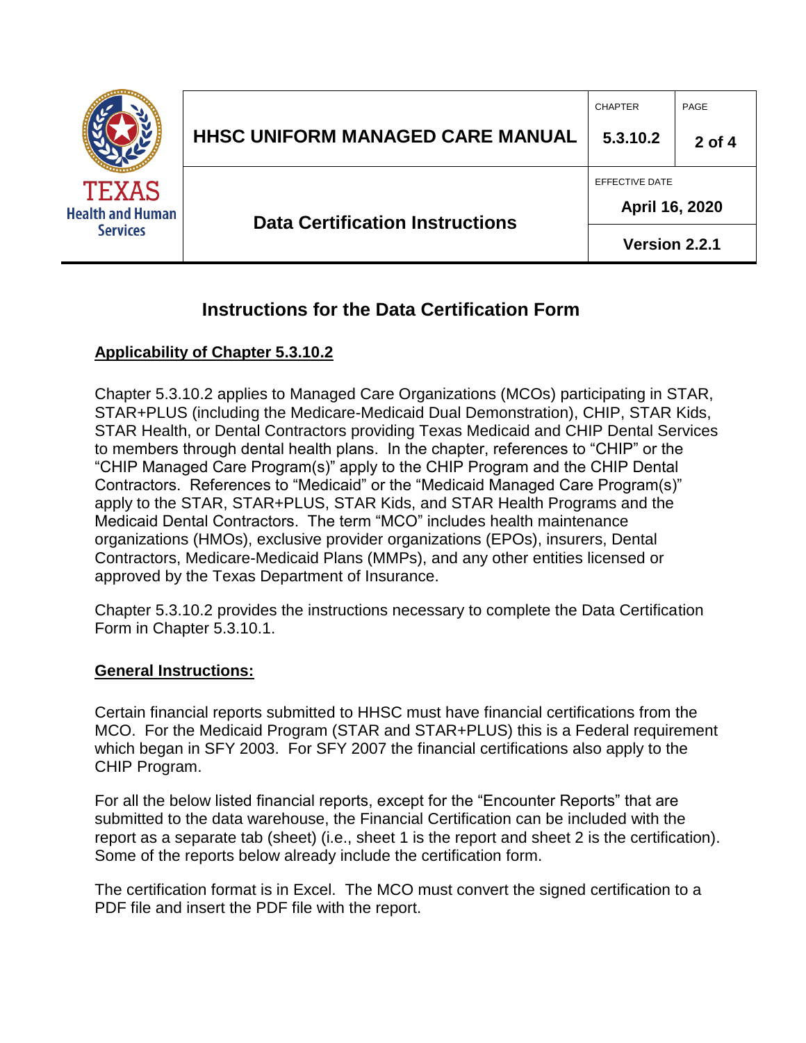

## **Instructions for the Data Certification Form**

### **Applicability of Chapter 5.3.10.2**

Chapter 5.3.10.2 applies to Managed Care Organizations (MCOs) participating in STAR, STAR+PLUS (including the Medicare-Medicaid Dual Demonstration), CHIP, STAR Kids, STAR Health, or Dental Contractors providing Texas Medicaid and CHIP Dental Services to members through dental health plans. In the chapter, references to "CHIP" or the "CHIP Managed Care Program(s)" apply to the CHIP Program and the CHIP Dental Contractors. References to "Medicaid" or the "Medicaid Managed Care Program(s)" apply to the STAR, STAR+PLUS, STAR Kids, and STAR Health Programs and the Medicaid Dental Contractors. The term "MCO" includes health maintenance organizations (HMOs), exclusive provider organizations (EPOs), insurers, Dental Contractors, Medicare-Medicaid Plans (MMPs), and any other entities licensed or approved by the Texas Department of Insurance.

Chapter 5.3.10.2 provides the instructions necessary to complete the Data Certification Form in Chapter 5.3.10.1.

### **General Instructions:**

Certain financial reports submitted to HHSC must have financial certifications from the MCO. For the Medicaid Program (STAR and STAR+PLUS) this is a Federal requirement which began in SFY 2003. For SFY 2007 the financial certifications also apply to the CHIP Program.

For all the below listed financial reports, except for the "Encounter Reports" that are submitted to the data warehouse, the Financial Certification can be included with the report as a separate tab (sheet) (i.e., sheet 1 is the report and sheet 2 is the certification). Some of the reports below already include the certification form.

The certification format is in Excel. The MCO must convert the signed certification to a PDF file and insert the PDF file with the report.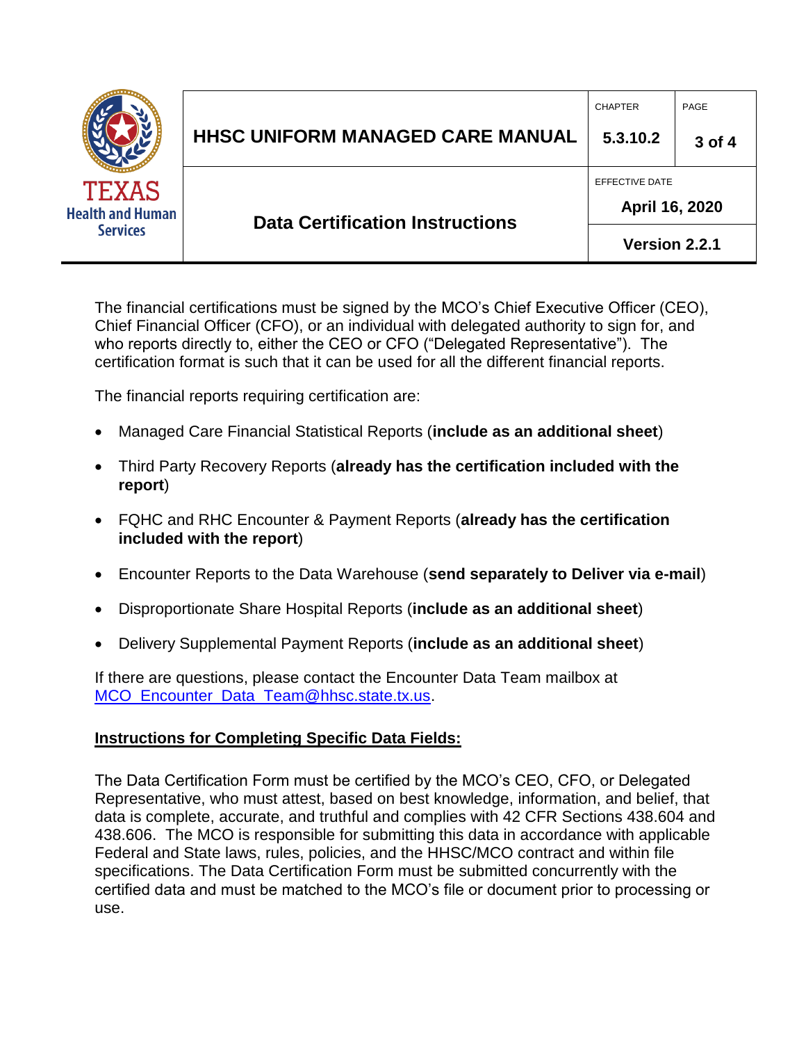|                                                            | <b>HHSC UNIFORM MANAGED CARE MANUAL</b> | <b>CHAPTER</b><br>5.3.10.2                        | PAGE<br>3 of 4 |
|------------------------------------------------------------|-----------------------------------------|---------------------------------------------------|----------------|
| <b>TEXAS</b><br><b>Health and Human</b><br><b>Services</b> | <b>Data Certification Instructions</b>  | EFFECTIVE DATE<br>April 16, 2020<br>Version 2.2.1 |                |

The financial certifications must be signed by the MCO's Chief Executive Officer (CEO), Chief Financial Officer (CFO), or an individual with delegated authority to sign for, and who reports directly to, either the CEO or CFO ("Delegated Representative"). The certification format is such that it can be used for all the different financial reports.

The financial reports requiring certification are:

- Managed Care Financial Statistical Reports (**include as an additional sheet**)
- Third Party Recovery Reports (**already has the certification included with the report**)
- FQHC and RHC Encounter & Payment Reports (**already has the certification included with the report**)
- Encounter Reports to the Data Warehouse (**send separately to Deliver via e-mail**)
- Disproportionate Share Hospital Reports (**include as an additional sheet**)
- Delivery Supplemental Payment Reports (**include as an additional sheet**)

If there are questions, please contact the Encounter Data Team mailbox at MCO Encounter Data Team@hhsc.state.tx.us.

### **Instructions for Completing Specific Data Fields:**

The Data Certification Form must be certified by the MCO's CEO, CFO, or Delegated Representative, who must attest, based on best knowledge, information, and belief, that data is complete, accurate, and truthful and complies with 42 CFR Sections 438.604 and 438.606. The MCO is responsible for submitting this data in accordance with applicable Federal and State laws, rules, policies, and the HHSC/MCO contract and within file specifications. The Data Certification Form must be submitted concurrently with the certified data and must be matched to the MCO's file or document prior to processing or use.